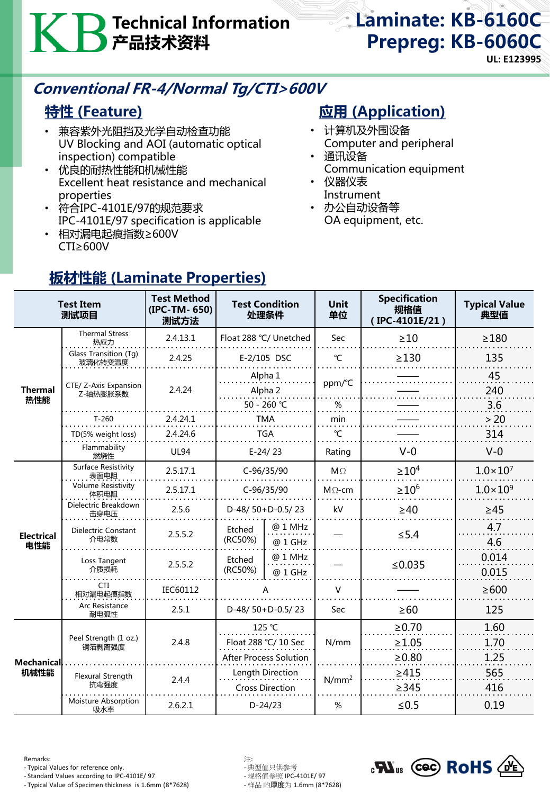# Technical Information 产品技术资料

# Laminate: KB-6160C Prepreg: KB-6060C

**UL: E123995**

# Conventional FR-4/Normal Tg/CTI>600V

## 特性 (Feature)

- 兼容紫外光阻挡及光学自动检查功能 UV Blocking and AOI (automatic optical inspection) compatible
- 优良的耐热性能和机械性能 Excellent heat resistance and mechanical properties
- 符合IPC-4101E/97的规范要求 IPC-4101E/97 specification is applicable
- 相对漏电起痕指数≥600V CTI≥600V

## **应用 (Application)**

- 计算机及外围设备 Computer and peripheral
- 通讯设备 Communication equipment
- 仪器仪表 Instrument
- 办公自动设备等 OA equipment, etc.

| <b>Test Item</b><br>测试项目 |                                    | <b>Test Method</b><br>(IPC-TM-650)<br>测试方法        | <b>Test Condition</b><br>处理条件                   |                    | <b>Unit</b><br>单位   | <b>Specification</b><br>规格值<br>$( IPC-4101E/21)$ | <b>Typical Value</b><br>典型值 |
|--------------------------|------------------------------------|---------------------------------------------------|-------------------------------------------------|--------------------|---------------------|--------------------------------------------------|-----------------------------|
| <b>Thermal</b><br>热性能    | <b>Thermal Stress</b><br>热应力       | 2.4.13.1                                          | Float 288 °C/ Unetched                          |                    | <b>Sec</b>          | >10                                              | $\geq$ 180                  |
|                          | Glass Transition (Tg)<br>玻璃化转变温度   | 2.4.25                                            | E-2/105 DSC                                     |                    | °C                  | $\geq$ 130                                       | 135                         |
|                          | CTE/ Z-Axis Expansion<br>Z-轴热膨胀系数  | 2.4.24                                            | Alpha 1<br>Alpha 2<br>50 - 260 °C<br><b>TMA</b> |                    | ppm/°C              |                                                  | 45<br>240                   |
|                          | $T-260$                            | 2.4.24.1                                          |                                                 |                    | $\%$<br>min         |                                                  | 3.6<br>>20                  |
|                          | TD(5% weight loss)                 | 2.4.24.6                                          | <b>TGA</b>                                      |                    | $\mathcal{C}$       |                                                  | 314                         |
|                          | Flammability<br>燃烧性                | <b>UL94</b>                                       | $E-24/23$                                       |                    | Rating              | $V-0$                                            | $V-0$                       |
| <b>Electrical</b><br>电性能 | Surface Resistivity<br>表面电阻        | 2.5.17.1                                          | $C-96/35/90$                                    |                    | $M\Omega$           | $\geq 10^4$                                      | $1.0 \times 10^{7}$         |
|                          | <b>Volume Resistivity</b><br>体积电阻  | 2.5.17.1                                          | C-96/35/90                                      |                    | $M\Omega$ -cm       | $\geq 10^6$                                      | $1.0 \times 10^{9}$         |
|                          | Dielectric Breakdown<br>击穿电压       | 2.5.6                                             | D-48/50+D-0.5/23                                |                    | kV                  | $\geq 40$                                        | $\geq$ 45                   |
|                          | <b>Dielectric Constant</b><br>介电常数 | 2.5.5.2                                           | Etched<br>(RC50%)                               | @ 1 MHz<br>@ 1 GHz |                     | $\leq$ 5.4                                       | 4.7<br>4.6                  |
|                          | Loss Tangent<br>介质损耗               | 2.5.5.2                                           | Etched<br>(RC50%)                               | @ 1 MHz<br>@ 1 GHz |                     | ≤ $0.035$                                        | 0.014<br>0.015              |
|                          | CTI<br>相对漏电起痕指数                    | IEC60112                                          |                                                 |                    | $\vee$              |                                                  | $\geq 600$                  |
|                          | Arc Resistance<br>耐电弧性             | 2.5.1                                             | D-48/50+D-0.5/23                                |                    | Sec                 | $\geq 60$                                        | 125                         |
| Mechanical<br>机械性能       | Peel Strength (1 oz.)<br>铜箔剥离强度    | 2.4.8                                             | 125 °C                                          |                    | N/mm                | $\ge 0.70$                                       | 1.60                        |
|                          |                                    |                                                   | Float 288 °C/ 10 Sec                            |                    |                     | $\geq 1.05$                                      | 1.70                        |
|                          |                                    | <b>After Process Solution</b><br>Length Direction |                                                 |                    | $\geq 0.80$<br>>415 | 1.25<br>565                                      |                             |
|                          | Flexural Strength<br>抗弯强度          | 2.4.4                                             | <b>Cross Direction</b>                          |                    | $N/mm^2$            | $\geq$ 345                                       | 416                         |
|                          | Moisture Absorption<br>吸水率         | 2.6.2.1                                           | $D-24/23$                                       |                    | $\%$                | $≤0.5$                                           | 0.19                        |

# 板材性能 (Laminate Properties)

Remarks: 注:

- Typical Values for reference only. - 典型值只供参考<br>- Standard Values according to IPC-4101E/ 97 - 规格值参照 IPC-4101E/ 97

- Standard Values according to IPC-4101E/ 97 - 规格值参照 IPC-4101E/ 97 - Typical Value of Specimen thickness is 1.6mm (8\*7628)